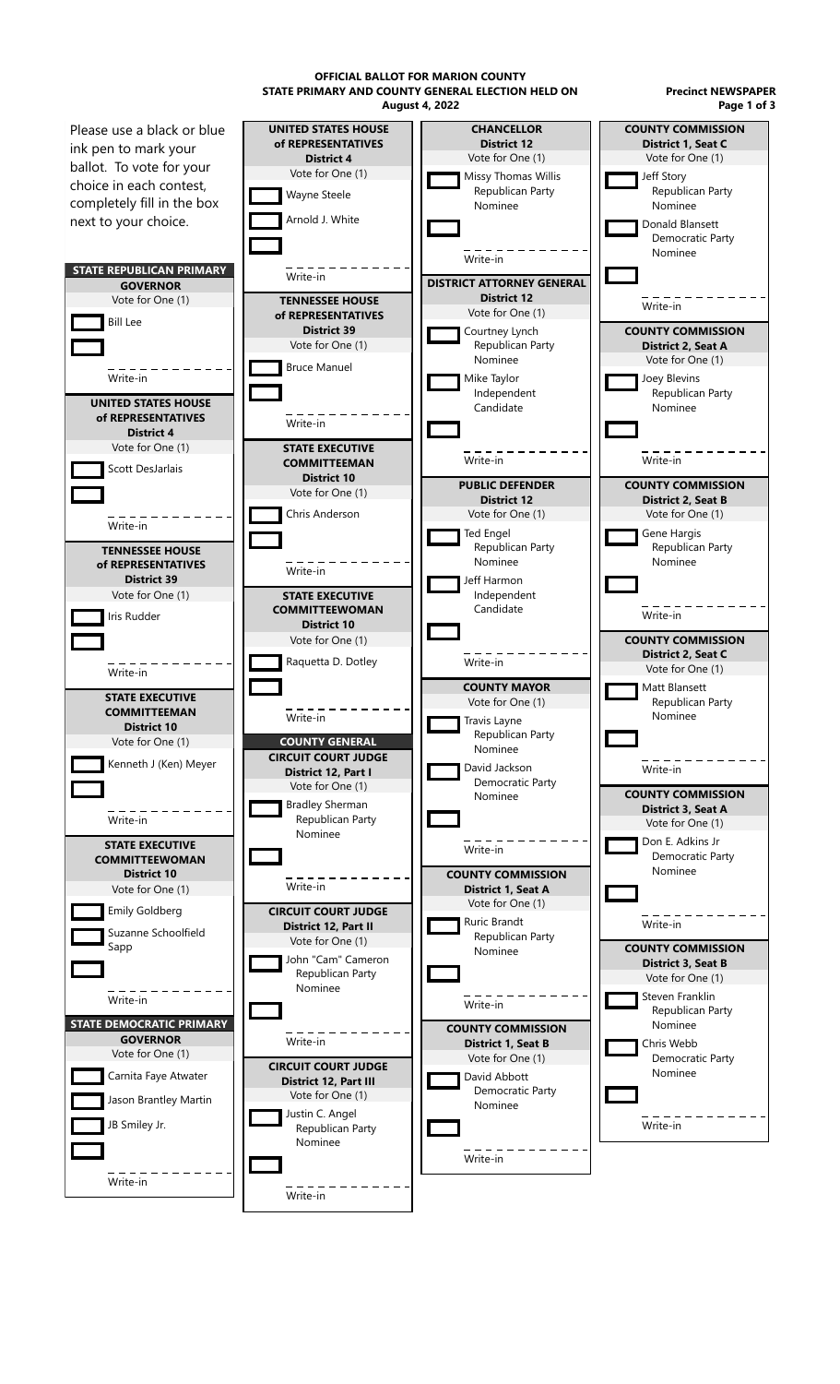**August 4, 2022 OFFICIAL BALLOT FOR MARION COUNTY STATE PRIMARY AND COUNTY GENERAL ELECTION HELD ON**

Please use a black or blue ink pen to mark your ballot. To vote for your choice in each contest, completely fill in the box next to your choice. **STATE REPUBLICAN PRIMARY GOVERNOR** Vote for One (1) Bill Lee Write-in **UNITED STATES HOUSE of REPRESENTATIVES District 4** Vote for One (1) Scott DesJarlais Write-in **TENNESSEE HOUSE of REPRESENTATIVES District 39** Vote for One (1) Iris Rudder Write-in **STATE EXECUTIVE COMMITTEEMAN District 10** Vote for One (1) Kenneth J (Ken) Meyer Write-in **STATE EXECUTIVE COMMITTEEWOMAN District 10** Vote for One (1) Emily Goldberg Suzanne Schoolfield Sapp Write-in **STATE DEMOCRATIC PRIMARY GOVERNOR** Vote for One (1) Carnita Faye Atwater Jason Brantley Martin JB Smiley Jr. Write-in **UNITED STATES HOUSE of REPRESENTATIVES District 4** Vote for One (1) Wayne Steele Arnold J. White Write-in **TENNESSEE HOUSE of REPRESENTATIVES District 39** Vote for One (1) Bruce Manuel Write-in **STATE EXECUTIVE COMMITTEEMAN District 10** Vote for One (1) Chris Anderson Write-in **STATE EXECUTIVE COMMITTEEWOMAN District 10** Vote for One (1) Raquetta D. Dotley Write-in **COUNTY GENERAL CIRCUIT COURT JUDGE District 12, Part I** Vote for One (1) Bradley Sherman Republican Party Nominee Write-in **CIRCUIT COURT JUDGE District 12, Part II** Vote for One (1) John "Cam" Cameron Republican Party Nominee Write-in **CIRCUIT COURT JUDGE District 12, Part III** Vote for One (1) Justin C. Angel Republican Party Nominee Write-in **CHANCELLOR District 12** Vote for One (1) Missy Thomas Willis Republican Party Nominee Write-in **DISTRICT ATTORNEY GENERAL District 12** Vote for One (1) Courtney Lynch Republican Party Nominee Mike Taylor Independent Candidate Write-in **PUBLIC DEFENDER District 12** Vote for One (1) Ted Engel Republican Party Nominee Jeff Harmon Independent Candidate Write-in **COUNTY MAYOR** Vote for One (1) Travis Layne Republican Party Nominee David Jackson Democratic Party Nominee Write-in **COUNTY COMMISSION District 1, Seat A** Vote for One (1) Ruric Brandt Republican Party Nominee Write-in **COUNTY COMMISSION District 1, Seat B** Vote for One (1) David Abbott Democratic Party Nominee Write-in **COUNTY COMMISSION District 1, Seat C** Vote for One (1) Jeff Story Republican Party Nominee Donald Blansett Democratic Party Nominee Write-in **COUNTY COMMISSION District 2, Seat A** Vote for One (1) Joey Blevins Republican Party Nominee Write-in **COUNTY COMMISSION District 2, Seat B** Vote for One (1) Gene Hargis Republican Party Nominee Write-in **COUNTY COMMISSION District 2, Seat C** Vote for One (1) Matt Blansett Republican Party Nominee Write-in **COUNTY COMMISSION District 3, Seat A** Vote for One (1) Don E. Adkins Jr Democratic Party Nominee Write-in **COUNTY COMMISSION District 3, Seat B** Vote for One (1) Steven Franklin Republican Party Nominee Chris Webb Democratic Party Nominee Write-in

**Precinct NEWSPAPER Page 1 of 3**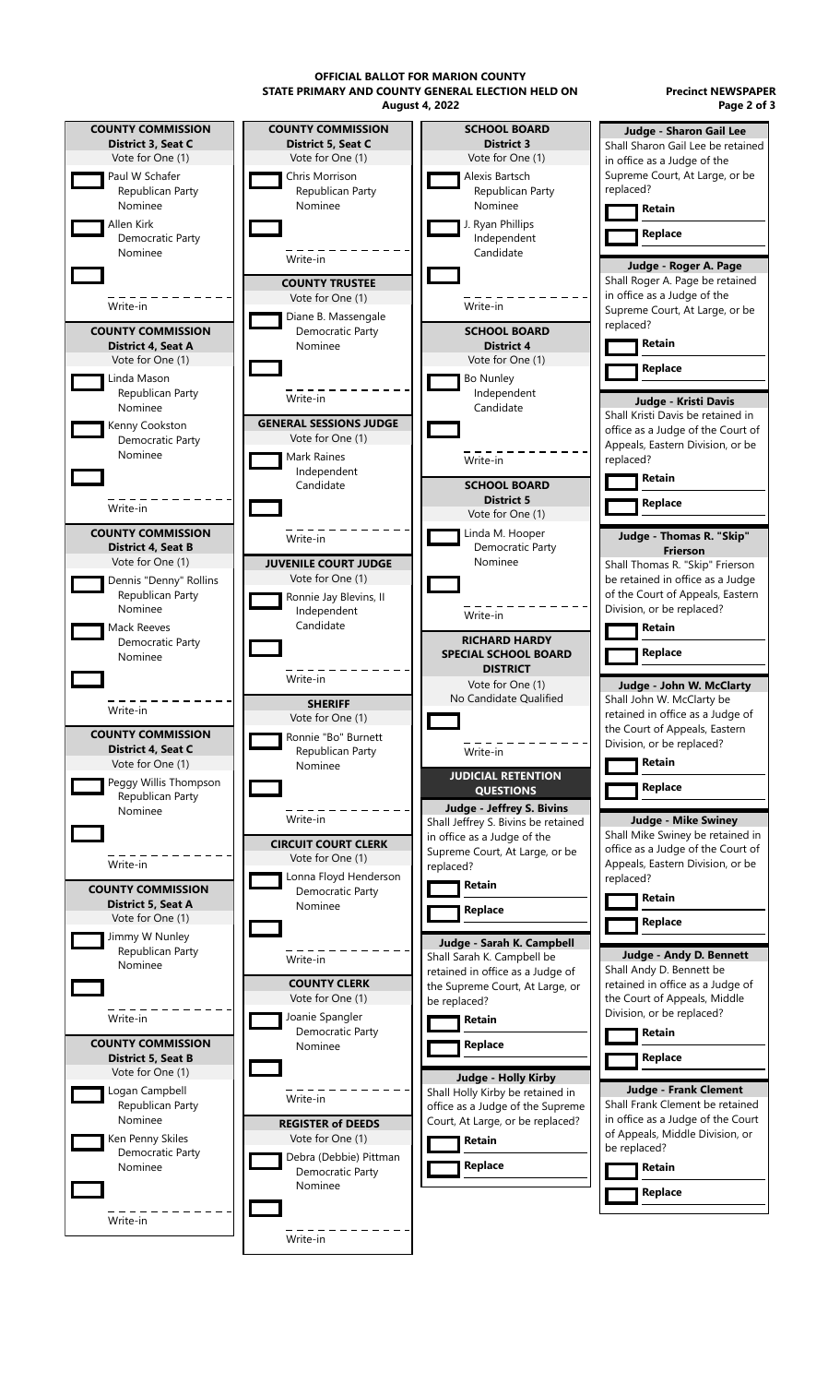**August 4, 2022 OFFICIAL BALLOT FOR MARION COUNTY STATE PRIMARY AND COUNTY GENERAL ELECTION HELD ON**



**Precinct NEWSPAPER Page 2 of 3**